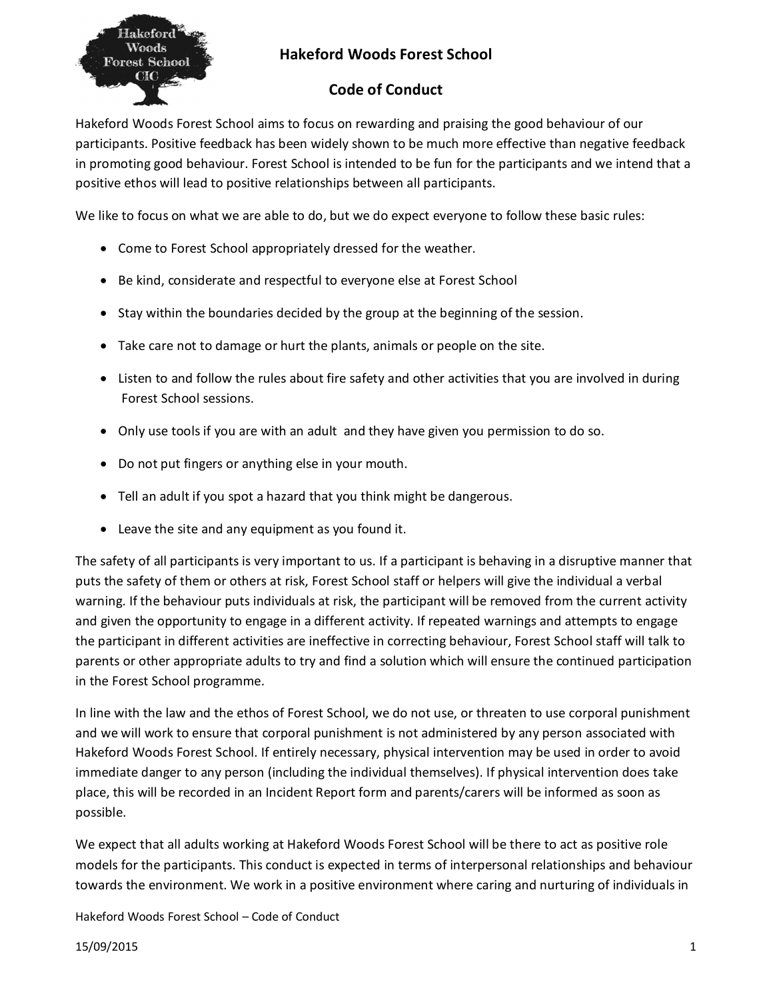

## **Hakeford Woods Forest School**

## **Code of Conduct**

Hakeford Woods Forest School aims to focus on rewarding and praising the good behaviour of our participants. Positive feedback has been widely shown to be much more effective than negative feedback in promoting good behaviour. Forest School is intended to be fun for the participants and we intend that a positive ethos will lead to positive relationships between all participants.

We like to focus on what we are able to do, but we do expect everyone to follow these basic rules:

- · Come to Forest School appropriately dressed for the weather.
- · Be kind, considerate and respectful to everyone else at Forest School
- · Stay within the boundaries decided by the group at the beginning of the session.
- · Take care not to damage or hurt the plants, animals or people on the site.
- · Listen to and follow the rules about fire safety and other activities that you are involved in during Forest School sessions.
- · Only use tools if you are with an adult and they have given you permission to do so.
- · Do not put fingers or anything else in your mouth.
- Tell an adult if you spot a hazard that you think might be dangerous.
- · Leave the site and any equipment as you found it.

The safety of all participants is very important to us. If a participant is behaving in a disruptive manner that puts the safety of them or others at risk, Forest School staff or helpers will give the individual a verbal warning. If the behaviour puts individuals at risk, the participant will be removed from the current activity and given the opportunity to engage in a different activity. If repeated warnings and attempts to engage the participant in different activities are ineffective in correcting behaviour, Forest School staff will talk to parents or other appropriate adults to try and find a solution which will ensure the continued participation in the Forest School programme.

In line with the law and the ethos of Forest School, we do not use, or threaten to use corporal punishment and we will work to ensure that corporal punishment is not administered by any person associated with Hakeford Woods Forest School. If entirely necessary, physical intervention may be used in order to avoid immediate danger to any person (including the individual themselves). If physical intervention does take place, this will be recorded in an Incident Report form and parents/carers will be informed as soon as possible.

We expect that all adults working at Hakeford Woods Forest School will be there to act as positive role models for the participants. This conduct is expected in terms of interpersonal relationships and behaviour towards the environment. We work in a positive environment where caring and nurturing of individuals in

Hakeford Woods Forest School – Code of Conduct

15/09/2015 1